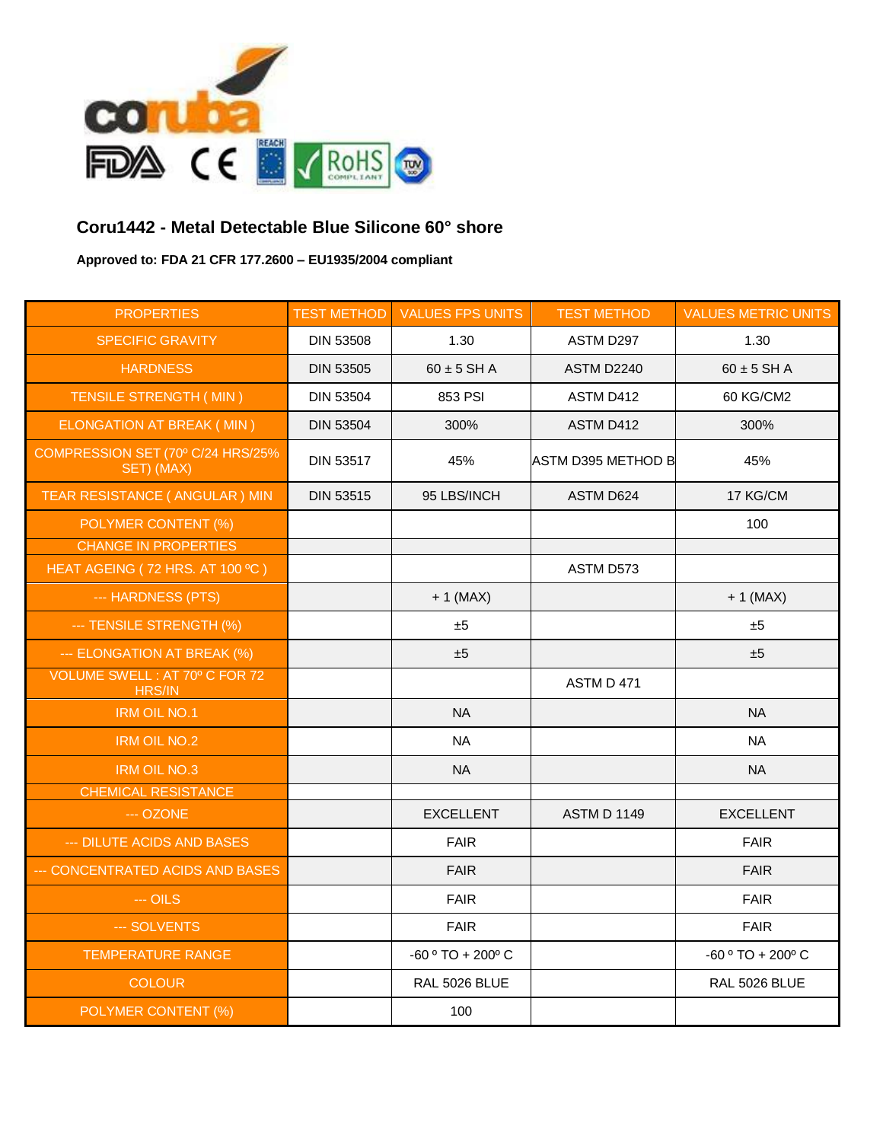

## **Coru1442 - Metal Detectable Blue Silicone 60° shore**

**Approved to: FDA 21 CFR 177.2600 – EU1935/2004 compliant**

| <b>PROPERTIES</b>                               | <b>TEST METHOD</b> | <b>VALUES FPS UNITS</b>            | <b>TEST METHOD</b> | <b>VALUES METRIC UNITS</b>         |
|-------------------------------------------------|--------------------|------------------------------------|--------------------|------------------------------------|
| <b>SPECIFIC GRAVITY</b>                         | <b>DIN 53508</b>   | 1.30                               | ASTM D297          | 1.30                               |
| <b>HARDNESS</b>                                 | <b>DIN 53505</b>   | $60 \pm 5$ SH A                    | ASTM D2240         | $60 \pm 5$ SH A                    |
| TENSILE STRENGTH (MIN)                          | <b>DIN 53504</b>   | 853 PSI                            | ASTM D412          | 60 KG/CM2                          |
| ELONGATION AT BREAK ( MIN )                     | <b>DIN 53504</b>   | 300%                               | ASTM D412          | 300%                               |
| COMPRESSION SET (70º C/24 HRS/25%<br>SET) (MAX) | <b>DIN 53517</b>   | 45%                                | ASTM D395 METHOD B | 45%                                |
| TEAR RESISTANCE ( ANGULAR ) MIN                 | <b>DIN 53515</b>   | 95 LBS/INCH                        | ASTM D624          | 17 KG/CM                           |
| POLYMER CONTENT (%)                             |                    |                                    |                    | 100                                |
| <b>CHANGE IN PROPERTIES</b>                     |                    |                                    |                    |                                    |
| HEAT AGEING (72 HRS. AT 100 °C)                 |                    |                                    | ASTM D573          |                                    |
| --- HARDNESS (PTS)                              |                    | $+1$ (MAX)                         |                    | $+1$ (MAX)                         |
| --- TENSILE STRENGTH (%)                        |                    | ±5                                 |                    | ±5                                 |
| --- ELONGATION AT BREAK (%)                     |                    | ±5                                 |                    | ±5                                 |
| VOLUME SWELL: AT 70° C FOR 72<br><b>HRS/IN</b>  |                    |                                    | ASTM D 471         |                                    |
| <b>IRM OIL NO.1</b>                             |                    | <b>NA</b>                          |                    | <b>NA</b>                          |
| <b>IRM OIL NO.2</b>                             |                    | <b>NA</b>                          |                    | <b>NA</b>                          |
| <b>IRM OIL NO.3</b>                             |                    | <b>NA</b>                          |                    | <b>NA</b>                          |
| <b>CHEMICAL RESISTANCE</b>                      |                    |                                    |                    |                                    |
| --- OZONE                                       |                    | <b>EXCELLENT</b>                   | <b>ASTM D 1149</b> | <b>EXCELLENT</b>                   |
| --- DILUTE ACIDS AND BASES                      |                    | <b>FAIR</b>                        |                    | <b>FAIR</b>                        |
| -- CONCENTRATED ACIDS AND BASES                 |                    | <b>FAIR</b>                        |                    | <b>FAIR</b>                        |
| $-$ OILS                                        |                    | <b>FAIR</b>                        |                    | <b>FAIR</b>                        |
| --- SOLVENTS                                    |                    | <b>FAIR</b>                        |                    | <b>FAIR</b>                        |
| <b>TEMPERATURE RANGE</b>                        |                    | -60 $\degree$ TO + 200 $\degree$ C |                    | -60 $\degree$ TO + 200 $\degree$ C |
| <b>COLOUR</b>                                   |                    | RAL 5026 BLUE                      |                    | RAL 5026 BLUE                      |
| POLYMER CONTENT (%)                             |                    | 100                                |                    |                                    |